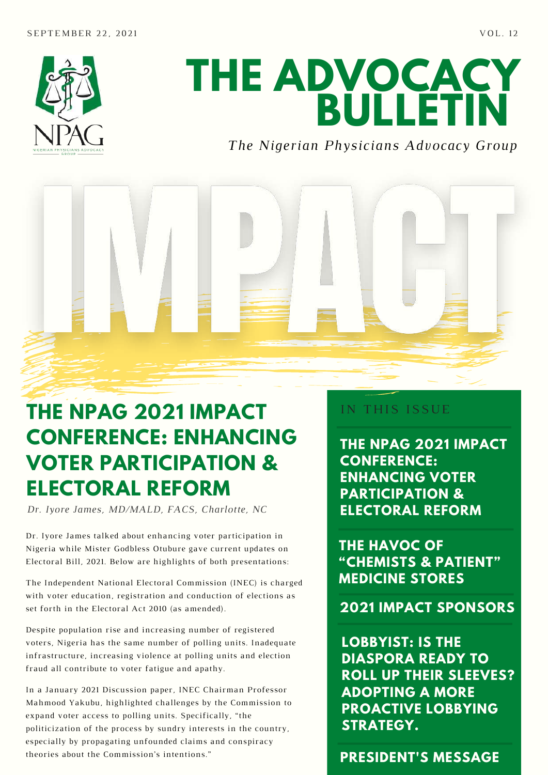

# **THE ADVOCACY BULLETIN**

#### *The Nigerian Physicians Advocacy Group*



## **THE NPAG 2021 IMPACT CONFERENCE: ENHANCING VOTER PARTICIPATION & ELECTORAL REFORM**

*Dr. Iyore James, MD/MALD, FACS, Charlotte, NC* **ELECTORAL REFORM**

Dr. Iyore James talked about enhancing voter participation in Nigeria while Mister Godbless Otubure gave current updates on Electoral Bill, 2021. Below are highlights of both presentations:

The Independent National Electoral Commission (INEC) is charged with voter education, registration and conduction of elections as set forth in the Electoral Act 2010 (as amended).

Despite population rise and increasing number of registered voters, Nigeria has the same number of polling units. Inadequate infrastructure, increasing violence at polling units and election fraud all contribute to voter fatigue and apathy.

In a January 2021 Discussion paper, INEC Chairman Professor Mahmood Yakubu, highlighted challenges by the Commission to expand voter access to polling units. Specifically, "the politicization of the process by sundry interests in the country, especially by propagating unfounded claims and conspiracy theories about the Commission's intentions."

#### IN THIS ISSUE

**THE NPAG 2021 IMPACT CONFERENCE: ENHANCING VOTER PARTICIPATION &**

**THE HAVOC OF "CHEMISTS & PATIENT" MEDICINE STORES**

**2021 IMPACT SPONSORS**

**LOBBYIST: IS THE DIASPORA READY TO ROLL UP THEIR SLEEVES? ADOPTING A MORE PROACTIVE LOBBYING STRATEGY.**

**PRESIDENT'S MESSAGE**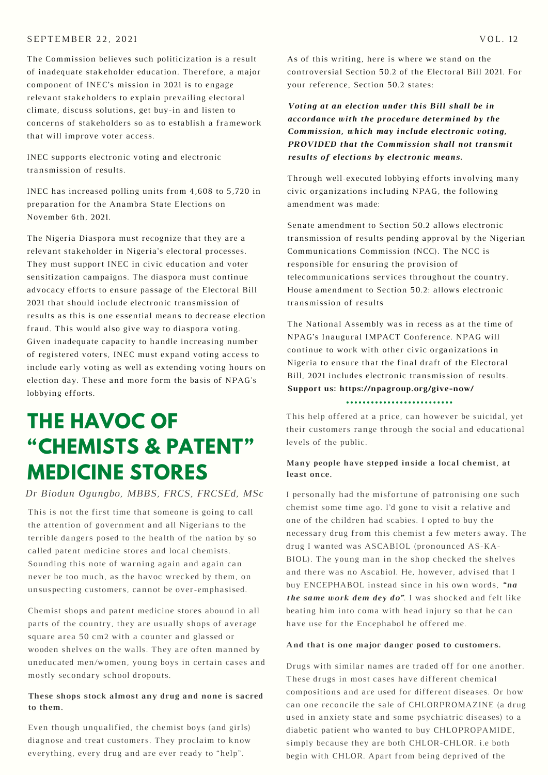#### SEPTEMBER 22, 2021 VOL. 12

The Commission believes such politicization is a result of inadequate stakeholder education. Therefore, a major component of INEC's mission in 2021 is to engage relevant stakeholders to explain prevailing electoral climate, discuss solutions, get buy-in and listen to concerns of stakeholders so as to establish a framework that will improve voter access.

INEC supports electronic voting and electronic transmission of results.

INEC has increased polling units from 4,608 to 5,720 in preparation for the Anambra State Elections on November 6th, 2021.

The Nigeria Diaspora must recognize that they are a relevant stakeholder in Nigeria's electoral processes. They must support INEC in civic education and voter sensitization campaigns. The diaspora must continue advocacy efforts to ensure passage of the Electoral Bill 2021 that should include electronic transmission of results as this is one essential means to decrease election fraud. This would also give way to diaspora voting. Given inadequate capacity to handle increasing number of registered voters, INEC must expand voting access to include early voting as well as extending voting hours on election day. These and more form the basis of NPAG's lobbying efforts.

### **THE HAVOC OF "CHEMISTS & PATENT" MEDICINE STORES**

#### *Dr Biodun Ogungbo, MBBS, FRCS, FRCSEd, MSc*

This is not the first time that someone is going to call the attention of government and all Nigerians to the terrible dangers posed to the health of the nation by so called patent medicine stores and local chemists. Sounding this note of warning again and again can never be too much, as the havoc wrecked by them, on unsuspecting customers, cannot be over-emphasised.

Chemist shops and patent medicine stores abound in all parts of the country, they are usually shops of average square area 50 cm2 with a counter and glassed or wooden shelves on the walls. They are often manned by uneducated men/women, young boys in certain cases and mostly secondary school dropouts.

#### **These shops stock almost any drug and none is sacred to them.**

Even though unqualified, the chemist boys (and girls) diagnose and treat customers. They proclaim to know everything, every drug and are ever ready to "help".

As of this writing, here is where we stand on the controversial Section 50.2 of the Electoral Bill 2021. For your reference, Section 50.2 states:

*Voting at an election under this Bill shall be in accordance with the procedure determined by the Commission, which may include electronic voting, PROVIDED that the Commission shall not transmit results of elections by electronic means.*

Through well-executed lobbying efforts involving many civic organizations including NPAG, the following amendment was made:

Senate amendment to Section 50.2 allows electronic transmission of results pending approval by the Nigerian Communications Commission (NCC). The NCC is responsible for ensuring the provision of telecommunications services throughout the country. House amendment to Section 50.2: allows electronic transmission of results

The National Assembly was in recess as at the time of NPAG's Inaugural IMPACT Conference. NPAG will continue to work with other civic organizations in Nigeria to ensure that the final draft of the Electoral Bill, 2021 includes electronic transmission of results. **Support us: https://npagroup.org/give-now/**

This help offered at a price, can however be suicidal, yet their customers range through the social and educational levels of the public.

#### **Many people have stepped inside a local chemist, at least once.**

I personally had the misfortune of patronising one such chemist some time ago. I'd gone to visit a relative and one of the children had scabies. I opted to buy the necessary drug from this chemist a few meters away. The drug I wanted was ASCABIOL (pronounced AS-KA-BIOL). The young man in the shop checked the shelves and there was no Ascabiol. He, however, advised that I buy ENCEPHABOL instead since in his own words, *"na the same work dem dey do"*. I was shocked and felt like beating him into coma with head injury so that he can have use for the Encephabol he offered me.

#### **And that is one major danger posed to customers.**

Drugs with similar names are traded off for one another. These drugs in most cases have different chemical compositions and are used for different diseases. Or how can one reconcile the sale of CHLORPROMAZINE (a drug used in anxiety state and some psychiatric diseases) to a diabetic patient who wanted to buy CHLOPROPAMIDE, simply because they are both CHLOR-CHLOR. i.e both begin with CHLOR. Apart from being deprived of the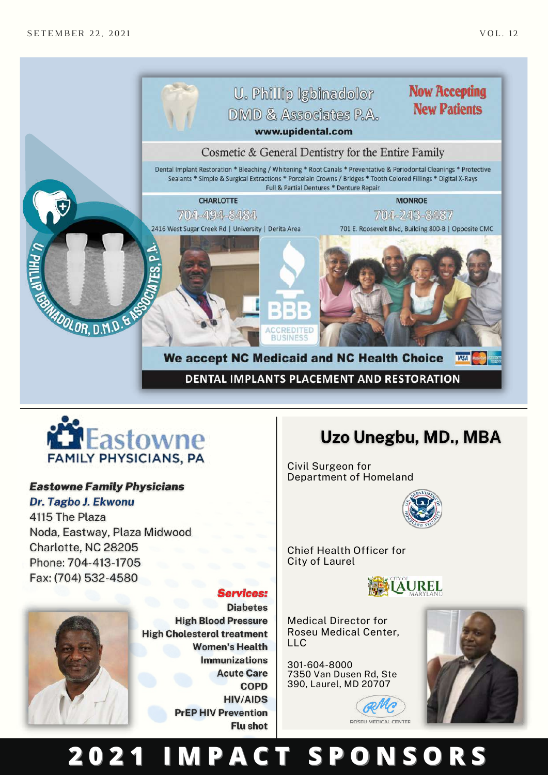



#### **Eastowne Family Physicians**

#### Dr. Tagbo J. Ekwonu

4115 The Plaza Noda, Eastway, Plaza Midwood Charlotte, NC 28205 Phone: 704-413-1705 Fax: (704) 532-4580

#### **Services:**



**Diabetes High Blood Pressure High Cholesterol treatment Women's Health Immunizations Acute Care COPD HIV/AIDS PrEP HIV Prevention Flu shot** 

### Uzo Unegbu, MD., MBA

Civil Surgeon for Department of Homeland



Chief Health Officer for City of Laurel



Medical Director for Roseu Medical Center, LLC

[301-604-8000](tel:301-604-8000) 7350 Van Dusen Rd, Ste 390, [Laurel,](https://www.google.com/maps/place/https://www.google.com/maps/place/79+Folsom+St,+San+Francisco,+CA+94105,+USA/@37.7902642,-122.3929651,17z/data=!3m1!4b1!4m2!3m1!1s0x8085807aad0a9e0b:0x378e593dff7a2ac3?hl=en) MD 20707





## **2 0 2 1 I M P A C T S P O N S O R S**